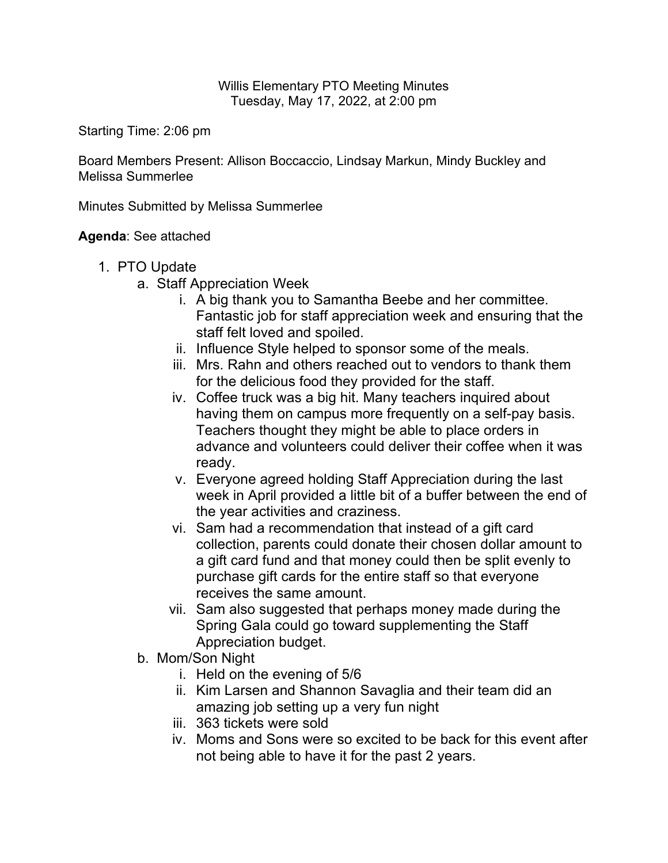## Willis Elementary PTO Meeting Minutes Tuesday, May 17, 2022, at 2:00 pm

Starting Time: 2:06 pm

Board Members Present: Allison Boccaccio, Lindsay Markun, Mindy Buckley and Melissa Summerlee

Minutes Submitted by Melissa Summerlee

## **Agenda**: See attached

- 1. PTO Update
	- a. Staff Appreciation Week
		- i. A big thank you to Samantha Beebe and her committee. Fantastic job for staff appreciation week and ensuring that the staff felt loved and spoiled.
		- ii. Influence Style helped to sponsor some of the meals.
		- iii. Mrs. Rahn and others reached out to vendors to thank them for the delicious food they provided for the staff.
		- iv. Coffee truck was a big hit. Many teachers inquired about having them on campus more frequently on a self-pay basis. Teachers thought they might be able to place orders in advance and volunteers could deliver their coffee when it was ready.
		- v. Everyone agreed holding Staff Appreciation during the last week in April provided a little bit of a buffer between the end of the year activities and craziness.
		- vi. Sam had a recommendation that instead of a gift card collection, parents could donate their chosen dollar amount to a gift card fund and that money could then be split evenly to purchase gift cards for the entire staff so that everyone receives the same amount.
		- vii. Sam also suggested that perhaps money made during the Spring Gala could go toward supplementing the Staff Appreciation budget.
	- b. Mom/Son Night
		- i. Held on the evening of 5/6
		- ii. Kim Larsen and Shannon Savaglia and their team did an amazing job setting up a very fun night
		- iii. 363 tickets were sold
		- iv. Moms and Sons were so excited to be back for this event after not being able to have it for the past 2 years.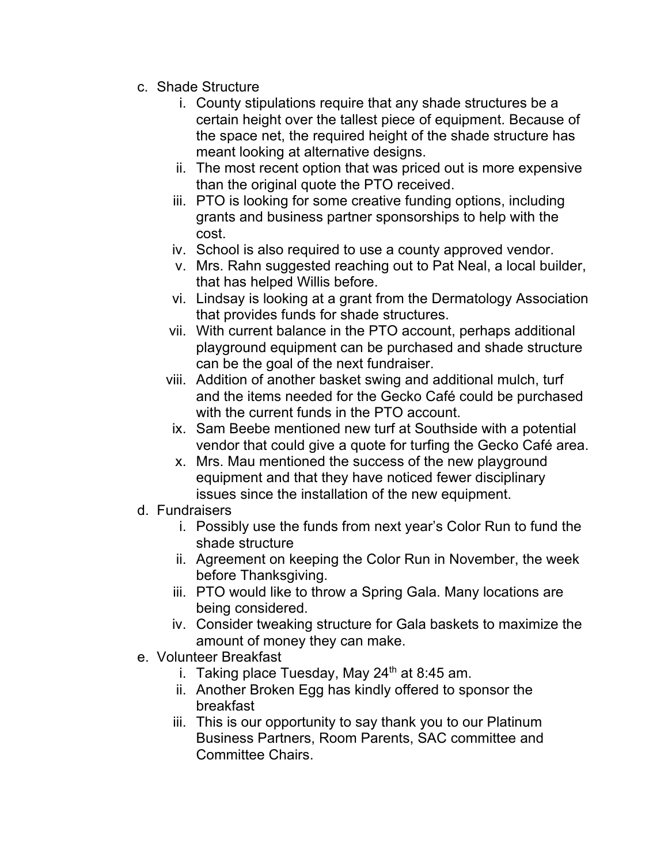- c. Shade Structure
	- i. County stipulations require that any shade structures be a certain height over the tallest piece of equipment. Because of the space net, the required height of the shade structure has meant looking at alternative designs.
	- ii. The most recent option that was priced out is more expensive than the original quote the PTO received.
	- iii. PTO is looking for some creative funding options, including grants and business partner sponsorships to help with the cost.
	- iv. School is also required to use a county approved vendor.
	- v. Mrs. Rahn suggested reaching out to Pat Neal, a local builder, that has helped Willis before.
	- vi. Lindsay is looking at a grant from the Dermatology Association that provides funds for shade structures.
	- vii. With current balance in the PTO account, perhaps additional playground equipment can be purchased and shade structure can be the goal of the next fundraiser.
	- viii. Addition of another basket swing and additional mulch, turf and the items needed for the Gecko Café could be purchased with the current funds in the PTO account.
	- ix. Sam Beebe mentioned new turf at Southside with a potential vendor that could give a quote for turfing the Gecko Café area.
	- x. Mrs. Mau mentioned the success of the new playground equipment and that they have noticed fewer disciplinary issues since the installation of the new equipment.
- d. Fundraisers
	- i. Possibly use the funds from next year's Color Run to fund the shade structure
	- ii. Agreement on keeping the Color Run in November, the week before Thanksgiving.
	- iii. PTO would like to throw a Spring Gala. Many locations are being considered.
	- iv. Consider tweaking structure for Gala baskets to maximize the amount of money they can make.
- e. Volunteer Breakfast
	- i. Taking place Tuesday, May  $24<sup>th</sup>$  at 8:45 am.
	- ii. Another Broken Egg has kindly offered to sponsor the breakfast
	- iii. This is our opportunity to say thank you to our Platinum Business Partners, Room Parents, SAC committee and Committee Chairs.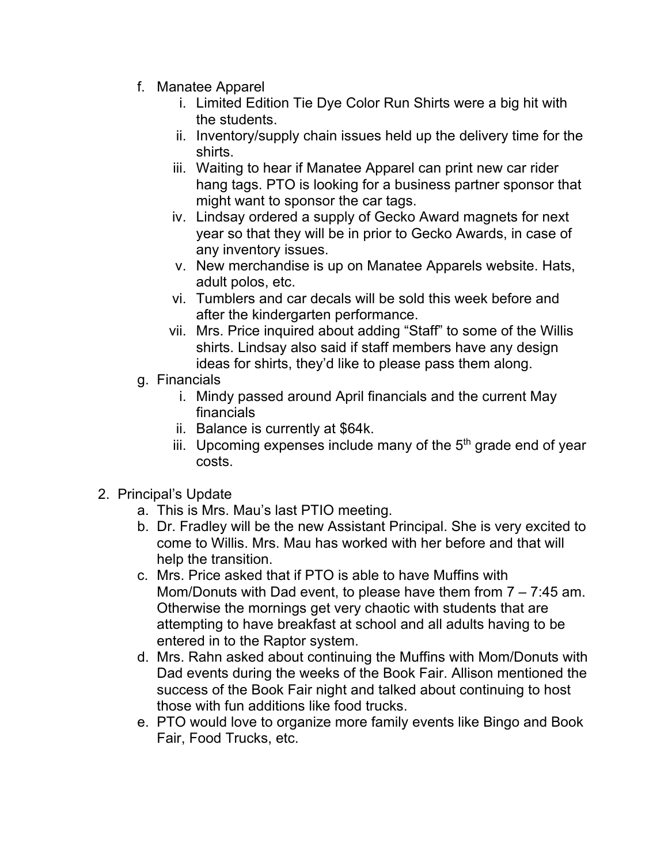- f. Manatee Apparel
	- i. Limited Edition Tie Dye Color Run Shirts were a big hit with the students.
	- ii. Inventory/supply chain issues held up the delivery time for the shirts.
	- iii. Waiting to hear if Manatee Apparel can print new car rider hang tags. PTO is looking for a business partner sponsor that might want to sponsor the car tags.
	- iv. Lindsay ordered a supply of Gecko Award magnets for next year so that they will be in prior to Gecko Awards, in case of any inventory issues.
	- v. New merchandise is up on Manatee Apparels website. Hats, adult polos, etc.
	- vi. Tumblers and car decals will be sold this week before and after the kindergarten performance.
	- vii. Mrs. Price inquired about adding "Staff" to some of the Willis shirts. Lindsay also said if staff members have any design ideas for shirts, they'd like to please pass them along.
- g. Financials
	- i. Mindy passed around April financials and the current May financials
	- ii. Balance is currently at \$64k.
	- iii. Upcoming expenses include many of the  $5<sup>th</sup>$  grade end of year costs.
- 2. Principal's Update
	- a. This is Mrs. Mau's last PTIO meeting.
	- b. Dr. Fradley will be the new Assistant Principal. She is very excited to come to Willis. Mrs. Mau has worked with her before and that will help the transition.
	- c. Mrs. Price asked that if PTO is able to have Muffins with Mom/Donuts with Dad event, to please have them from 7 – 7:45 am. Otherwise the mornings get very chaotic with students that are attempting to have breakfast at school and all adults having to be entered in to the Raptor system.
	- d. Mrs. Rahn asked about continuing the Muffins with Mom/Donuts with Dad events during the weeks of the Book Fair. Allison mentioned the success of the Book Fair night and talked about continuing to host those with fun additions like food trucks.
	- e. PTO would love to organize more family events like Bingo and Book Fair, Food Trucks, etc.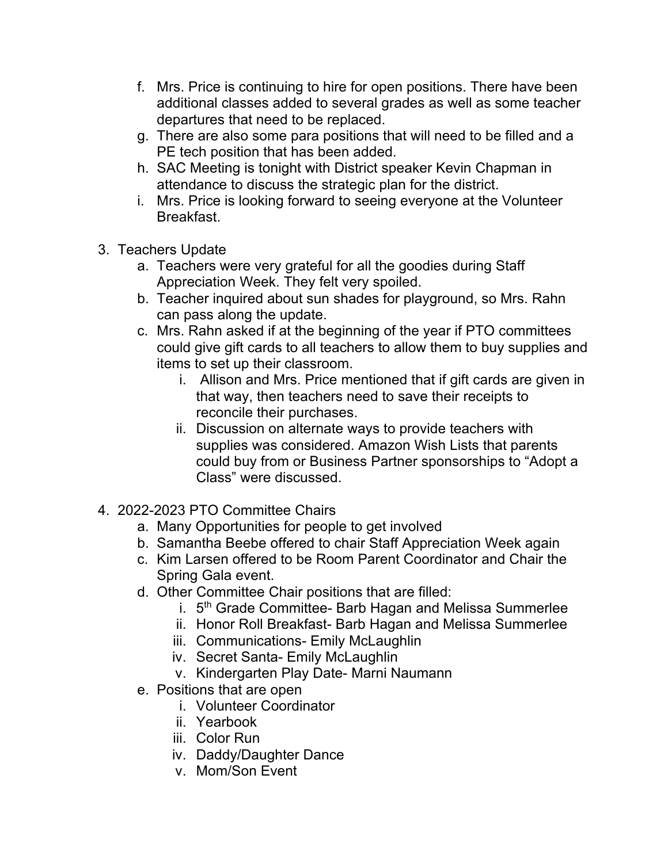- f. Mrs. Price is continuing to hire for open positions. There have been additional classes added to several grades as well as some teacher departures that need to be replaced.
- g. There are also some para positions that will need to be filled and a PE tech position that has been added.
- h. SAC Meeting is tonight with District speaker Kevin Chapman in attendance to discuss the strategic plan for the district.
- i. Mrs. Price is looking forward to seeing everyone at the Volunteer Breakfast.
- 3. Teachers Update
	- a. Teachers were very grateful for all the goodies during Staff Appreciation Week. They felt very spoiled.
	- b. Teacher inquired about sun shades for playground, so Mrs. Rahn can pass along the update.
	- c. Mrs. Rahn asked if at the beginning of the year if PTO committees could give gift cards to all teachers to allow them to buy supplies and items to set up their classroom.
		- i. Allison and Mrs. Price mentioned that if gift cards are given in that way, then teachers need to save their receipts to reconcile their purchases.
		- ii. Discussion on alternate ways to provide teachers with supplies was considered. Amazon Wish Lists that parents could buy from or Business Partner sponsorships to "Adopt a Class" were discussed.
- 4. 2022-2023 PTO Committee Chairs
	- a. Many Opportunities for people to get involved
	- b. Samantha Beebe offered to chair Staff Appreciation Week again
	- c. Kim Larsen offered to be Room Parent Coordinator and Chair the Spring Gala event.
	- d. Other Committee Chair positions that are filled:
		- i. 5<sup>th</sup> Grade Committee- Barb Hagan and Melissa Summerlee
		- ii. Honor Roll Breakfast- Barb Hagan and Melissa Summerlee
		- iii. Communications- Emily McLaughlin
		- iv. Secret Santa- Emily McLaughlin
		- v. Kindergarten Play Date- Marni Naumann
	- e. Positions that are open
		- i. Volunteer Coordinator
		- ii. Yearbook
		- iii. Color Run
		- iv. Daddy/Daughter Dance
		- v. Mom/Son Event